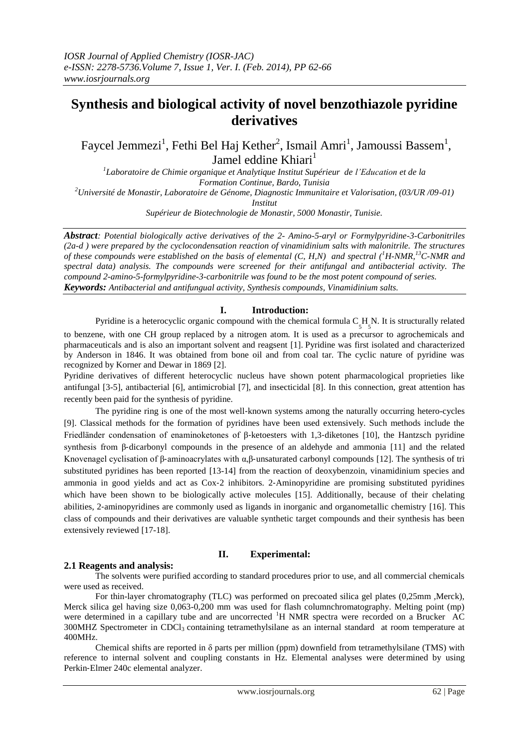# **Synthesis and biological activity of novel benzothiazole pyridine derivatives**

Faycel Jemmezi<sup>1</sup>, Fethi Bel Haj Kether<sup>2</sup>, Ismail Amri<sup>1</sup>, Jamoussi Bassem<sup>1</sup>, Jamel eddine Khiari<sup>1</sup>

*1 Laboratoire de Chimie organique et Analytique Institut Supérieur de l'Education et de la Formation Continue, Bardo, Tunisia <sup>2</sup>Université de Monastir, Laboratoire de Génome, Diagnostic Immunitaire et Valorisation, (03/UR /09-01) Institut* 

*Supérieur de Biotechnologie de Monastir, 5000 Monastir, Tunisie.*

*Abstract: Potential biologically active derivatives of the 2- Amino-5-aryl or Formylpyridine-3-Carbonitriles (2a-d ) were prepared by the cyclocondensation reaction of vinamidinium salts with malonitrile. The structures of these compounds were established on the basis of elemental (C, H,N) and spectral (<sup>1</sup>H-NMR,<sup>13</sup>C-NMR and spectral data) analysis. The compounds were screened for their antifungal and antibacterial activity. The compound 2-amino-5-formylpyridine-3-carbonitrile was found to be the most potent compound of series. Keywords: Antibacterial and antifungual activity, Synthesis compounds, Vinamidinium salts.*

# **I. Introduction:**

Pyridine is a heterocyclic organic compound with the chemical formula  $C_5H_5N$ . It is structurally related

to benzene, with one CH group replaced by a nitrogen atom. It is used as a precursor to agrochemicals and pharmaceuticals and is also an important solvent and reagsent [1]. Pyridine was first isolated and characterized by Anderson in 1846. It was obtained from bone oil and from coal tar. The cyclic nature of pyridine was recognized by Korner and Dewar in 1869 [2].

Pyridine derivatives of different heterocyclic nucleus have shown potent pharmacological proprieties like antifungal [3-5], antibacterial [6], antimicrobial [7], and insecticidal [8]. In this connection, great attention has recently been paid for the synthesis of pyridine.

The pyridine ring is one of the most well-known systems among the naturally occurring hetero-cycles [9]. Classical methods for the formation of pyridines have been used extensively. Such methods include the Friedländer condensation of enaminoketones of β‐ketoesters with 1,3‐diketones [10], the Hantzsch pyridine synthesis from β‐dicarbonyl compounds in the presence of an aldehyde and ammonia [11] and the related Knovenagel cyclisation of β-aminoacrylates with  $\alpha$ ,β-unsaturated carbonyl compounds [12]. The synthesis of tri substituted pyridines has been reported [13-14] from the reaction of deoxybenzoin, vinamidinium species and ammonia in good yields and act as Cox‐2 inhibitors. 2‐Aminopyridine are promising substituted pyridines which have been shown to be biologically active molecules [15]. Additionally, because of their chelating abilities, 2‐aminopyridines are commonly used as ligands in inorganic and organometallic chemistry [16]. This class of compounds and their derivatives are valuable synthetic target compounds and their synthesis has been extensively reviewed [17-18].

# **II. Experimental:**

# **2.1 Reagents and analysis:**

The solvents were purified according to standard procedures prior to use, and all commercial chemicals were used as received.

For thin-layer chromatography (TLC) was performed on precoated silica gel plates (0,25mm, Merck), Merck silica gel having size 0,063-0,200 mm was used for flash columnchromatography. Melting point (mp) were determined in a capillary tube and are uncorrected <sup>1</sup>H NMR spectra were recorded on a Brucker AC  $300$ MHZ Spectrometer in CDCl<sub>3</sub> containing tetramethylsilane as an internal standard at room temperature at 400MHz.

Chemical shifts are reported in  $\delta$  parts per million (ppm) downfield from tetramethylsilane (TMS) with reference to internal solvent and coupling constants in Hz. Elemental analyses were determined by using Perkin‐Elmer 240c elemental analyzer.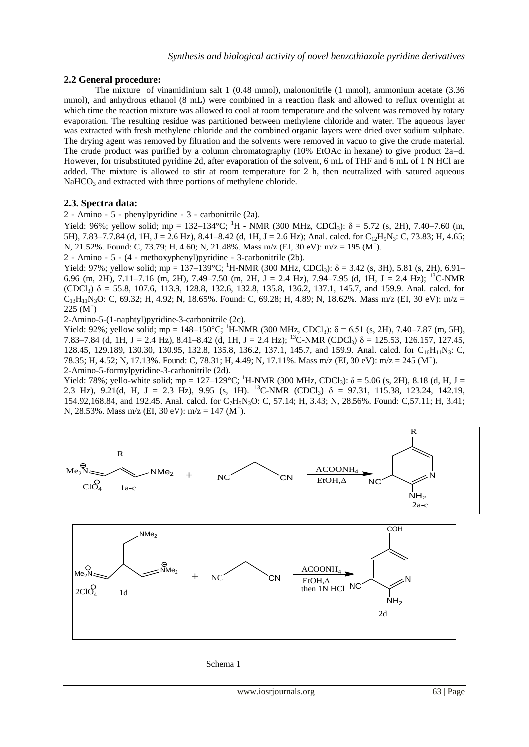## **2.2 General procedure:**

The mixture of vinamidinium salt 1 (0.48 mmol), malononitrile (1 mmol), ammonium acetate (3.36 mmol), and anhydrous ethanol (8 mL) were combined in a reaction flask and allowed to reflux overnight at which time the reaction mixture was allowed to cool at room temperature and the solvent was removed by rotary evaporation. The resulting residue was partitioned between methylene chloride and water. The aqueous layer was extracted with fresh methylene chloride and the combined organic layers were dried over sodium sulphate. The drying agent was removed by filtration and the solvents were removed in vacuo to give the crude material. The crude product was purified by a column chromatography (10% EtOAc in hexane) to give product 2a–d. However, for trisubstituted pyridine 2d, after evaporation of the solvent, 6 mL of THF and 6 mL of 1 N HCl are added. The mixture is allowed to stir at room temperature for 2 h, then neutralized with satured aqueous NaHCO<sub>3</sub> and extracted with three portions of methylene chloride.

## **2.3. Spectra data:**

2‐Amino‐5‐phenylpyridine‐3‐carbonitrile (2a).

Yield: 96%; yellow solid; mp = 132–134°C; <sup>1</sup>H - NMR (300 MHz, CDCl<sub>3</sub>):  $\delta$  = 5.72 (s, 2H), 7.40–7.60 (m, 5H), 7.83–7.7.84 (d, 1H, J = 2.6 Hz), 8.41–8.42 (d, 1H, J = 2.6 Hz); Anal. calcd. for  $C_{12}H_9N_3$ : C, 73.83; H, 4.65; N, 21.52%. Found: C, 73.79; H, 4.60; N, 21.48%. Mass m/z (EI, 30 eV): m/z = 195 (M<sup>+</sup>).

2‐Amino‐5‐(4‐methoxyphenyl)pyridine‐3-carbonitrile (2b).

Yield: 97%; yellow solid; mp = 137–139°C; <sup>1</sup>H-NMR (300 MHz, CDCl<sub>3</sub>):  $\delta$  = 3.42 (s, 3H), 5.81 (s, 2H), 6.91– 6.96 (m, 2H), 7.11–7.16 (m, 2H), 7.49–7.50 (m, 2H, J = 2.4 Hz), 7.94–7.95 (d, 1H, J = 2.4 Hz); <sup>13</sup>C-NMR (CDCl<sub>3</sub>)  $\delta$  = 55.8, 107.6, 113.9, 128.8, 132.6, 132.8, 135.8, 136.2, 137.1, 145.7, and 159.9. Anal. calcd. for  $C_{13}H_{11}N_3O$ : C, 69.32; H, 4.92; N, 18.65%. Found: C, 69.28; H, 4.89; N, 18.62%. Mass m/z (EI, 30 eV): m/z =  $225 (M^+)$ 

2-Amino-5-(1-naphtyl)pyridine-3-carbonitrile (2c).

Yield: 92%; yellow solid; mp = 148–150°C; <sup>1</sup>H-NMR (300 MHz, CDCl<sub>3</sub>):  $\delta$  = 6.51 (s, 2H), 7.40–7.87 (m, 5H), 7.83–7.84 (d, 1H, J = 2.4 Hz), 8.41–8.42 (d, 1H, J = 2.4 Hz); <sup>13</sup>C-NMR (CDCl<sub>3</sub>)  $\delta$  = 125.53, 126.157, 127.45, 128.45, 129.189, 130.30, 130.95, 132.8, 135.8, 136.2, 137.1, 145.7, and 159.9. Anal. calcd. for C<sub>16</sub>H<sub>11</sub>N<sub>3</sub>: C, 78.35; H, 4.52; N, 17.13%. Found: C, 78.31; H, 4.49; N, 17.11%. Mass m/z (EI, 30 eV): m/z = 245 (M<sup>+</sup> ). 2-Amino-5-formylpyridine-3-carbonitrile (2d).

Yield: 78%; yello-white solid; mp = 127–129°C; <sup>1</sup>H-NMR (300 MHz, CDCl<sub>3</sub>):  $\delta$  = 5.06 (s, 2H), 8.18 (d, H, J = 2.3 Hz), 9.21(d, H, J = 2.3 Hz), 9.95 (s, 1H). <sup>13</sup>C-NMR (CDCl<sub>3</sub>)  $\delta$  = 97.31, 115.38, 123.24, 142.19, 154.92,168.84, and 192.45. Anal. calcd. for C7H5N3O: C, 57.14; H, 3.43; N, 28.56%. Found: C,57.11; H, 3.41; N, 28.53%. Mass m/z (EI, 30 eV): m/z = 147 (M<sup>+</sup>).



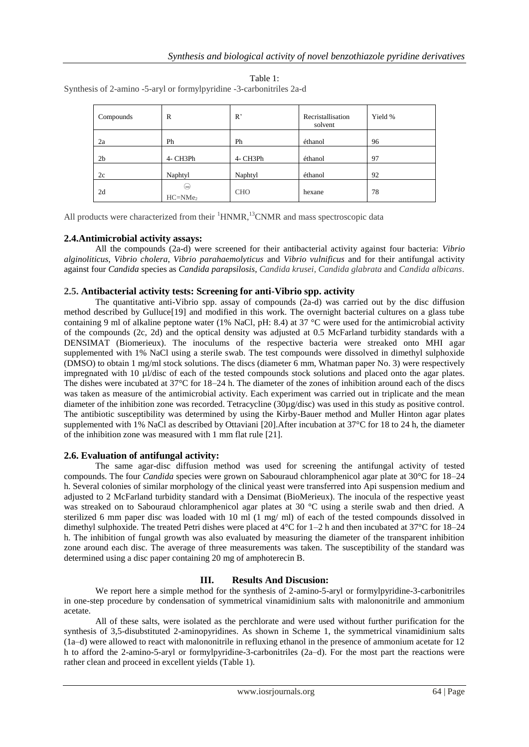| Compounds      | R                | R          | Recristallisation<br>solvent | Yield % |
|----------------|------------------|------------|------------------------------|---------|
| 2a             | Ph               | Ph         | éthanol                      | 96      |
| 2 <sub>b</sub> | 4- CH3Ph         | 4- CH3Ph   | éthanol                      | 97      |
| 2c             | Naphtyl          | Naphtyl    | éthanol                      | 92      |
| 2d             | ⊖<br>$HC = NMe2$ | <b>CHO</b> | hexane                       | 78      |

Table 1:

Synthesis of 2-amino -5-aryl or formylpyridine -3-carbonitriles 2a-d

All products were characterized from their  ${}^{1}$ HNMR, ${}^{13}$ CNMR and mass spectroscopic data

## **2.4.Antimicrobial activity assays:**

All the compounds (2a-d) were screened for their antibacterial activity against four bacteria: *Vibrio alginoliticus*, *Vibrio cholera*, *Vibrio parahaemolyticus* and *Vibrio vulnificus* and for their antifungal activity against four *Candida* species as *Candida parapsilosis*, *Candida krusei*, *Candida glabrata* and *Candida albicans*.

## **2.5. Antibacterial activity tests: Screening for anti-Vibrio spp. activity**

The quantitative anti-Vibrio spp. assay of compounds (2a-d) was carried out by the disc diffusion method described by Gulluce[19] and modified in this work. The overnight bacterial cultures on a glass tube containing 9 ml of alkaline peptone water (1% NaCl, pH: 8.4) at 37 °C were used for the antimicrobial activity of the compounds (2c, 2d) and the optical density was adjusted at 0.5 McFarland turbidity standards with a DENSIMAT (Biomerieux). The inoculums of the respective bacteria were streaked onto MHI agar supplemented with 1% NaCl using a sterile swab. The test compounds were dissolved in dimethyl sulphoxide (DMSO) to obtain 1 mg/ml stock solutions. The discs (diameter 6 mm, Whatman paper No. 3) were respectively impregnated with 10 µl/disc of each of the tested compounds stock solutions and placed onto the agar plates. The dishes were incubated at 37°C for 18–24 h. The diameter of the zones of inhibition around each of the discs was taken as measure of the antimicrobial activity. Each experiment was carried out in triplicate and the mean diameter of the inhibition zone was recorded. Tetracycline (30µg/disc) was used in this study as positive control. The antibiotic susceptibility was determined by using the Kirby-Bauer method and Muller Hinton agar plates supplemented with 1% NaCl as described by Ottaviani [20].After incubation at 37°C for 18 to 24 h, the diameter of the inhibition zone was measured with 1 mm flat rule [21].

# **2.6. Evaluation of antifungal activity:**

The same agar-disc diffusion method was used for screening the antifungal activity of tested compounds. The four *Candida* species were grown on Sabouraud chloramphenicol agar plate at 30°C for 18–24 h. Several colonies of similar morphology of the clinical yeast were transferred into Api suspension medium and adjusted to 2 McFarland turbidity standard with a Densimat (BioMerieux). The inocula of the respective yeast was streaked on to Sabouraud chloramphenicol agar plates at 30 °C using a sterile swab and then dried. A sterilized 6 mm paper disc was loaded with 10 ml (1 mg/ ml) of each of the tested compounds dissolved in dimethyl sulphoxide. The treated Petri dishes were placed at 4°C for 1–2 h and then incubated at 37°C for 18–24 h. The inhibition of fungal growth was also evaluated by measuring the diameter of the transparent inhibition zone around each disc. The average of three measurements was taken. The susceptibility of the standard was determined using a disc paper containing 20 mg of amphoterecin B.

# **III. Results And Discusion:**

We report here a simple method for the synthesis of 2-amino-5-aryl or formylpyridine-3-carbonitriles in one-step procedure by condensation of symmetrical vinamidinium salts with malononitrile and ammonium acetate.

All of these salts, were isolated as the perchlorate and were used without further purification for the synthesis of 3,5-disubstituted 2-aminopyridines. As shown in Scheme 1, the symmetrical vinamidinium salts (1a–d) were allowed to react with malononitrile in refluxing ethanol in the presence of ammonium acetate for 12 h to afford the 2-amino-5-aryl or formylpyridine-3-carbonitriles (2a–d). For the most part the reactions were rather clean and proceed in excellent yields (Table 1).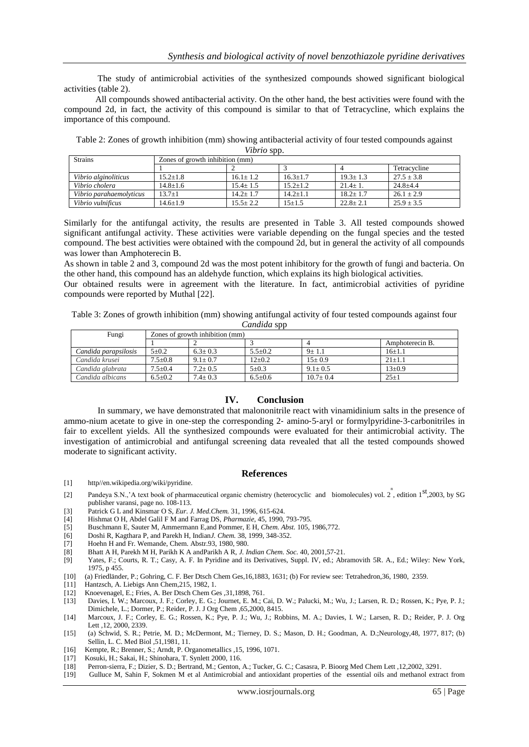The study of antimicrobial activities of the synthesized compounds showed significant biological activities (table 2).

All compounds showed antibacterial activity. On the other hand, the best activities were found with the compound 2d, in fact, the activity of this compound is similar to that of Tetracycline, which explains the importance of this compound.

Table 2: Zones of growth inhibition (mm) showing antibacterial activity of four tested compounds against *Vibrio* spp.

| .                       |                                 |              |              |                |                |  |  |  |
|-------------------------|---------------------------------|--------------|--------------|----------------|----------------|--|--|--|
| <b>Strains</b>          | Zones of growth inhibition (mm) |              |              |                |                |  |  |  |
|                         |                                 |              |              |                | Tetracycline   |  |  |  |
| Vibrio alginoliticus    | $15.2 + 1.8$                    | $16.1 + 1.2$ | $16.3 + 1.7$ | $19.3 + 1.3$   | $27.5 \pm 3.8$ |  |  |  |
| Vibrio cholera          | $14.8 + 1.6$                    | $15.4 + 1.5$ | $15.2 + 1.2$ | $21.4 + 1.$    | $24.8 + 4.4$   |  |  |  |
| Vibrio parahaemolyticus | $13.7 + 1$                      | $14.2 + 1.7$ | $14.2 + 1.1$ | $18.2 \pm 1.7$ | $26.1 \pm 2.9$ |  |  |  |
| Vibrio vulnificus       | $14.6 \pm 1.9$                  | $15.5 + 2.2$ | $15 + 1.5$   | $22.8 + 2.1$   | $25.9 \pm 3.5$ |  |  |  |

Similarly for the antifungal activity, the results are presented in Table 3. All tested compounds showed significant antifungal activity. These activities were variable depending on the fungal species and the tested compound. The best activities were obtained with the compound 2d, but in general the activity of all compounds was lower than Amphoterecin B.

As shown in table 2 and 3, compound 2d was the most potent inhibitory for the growth of fungi and bacteria. On the other hand, this compound has an aldehyde function, which explains its high biological activities.

Our obtained results were in agreement with the literature. In fact, antimicrobial activities of pyridine compounds were reported by Muthal [22].

Table 3: Zones of growth inhibition (mm) showing antifungal activity of four tested compounds against four *Candida* spp

| Fungi                | Zones of growth inhibition (mm) |             |               |              |                 |  |  |
|----------------------|---------------------------------|-------------|---------------|--------------|-----------------|--|--|
|                      |                                 |             |               |              | Amphoterecin B. |  |  |
| Candida parapsilosis | $5+0.2$                         | $6.3 + 0.3$ | $5.5 \pm 0.2$ | $9 \pm 1.1$  | $16+1.1$        |  |  |
| Candida krusei       | $7.5 \pm 0.8$                   | $9.1 + 0.7$ | $12+0.2$      | $15+0.9$     | $21+1.1$        |  |  |
| Candida glabrata     | $7.5 \pm 0.4$                   | $7.2 + 0.5$ | $5 \pm 0.3$   | $9.1 + 0.5$  | $13\pm0.9$      |  |  |
| Candida albicans     | $6.5+0.2$                       | $7.4+0.3$   | $6.5 + 0.6$   | $10.7 + 0.4$ | $25 \pm 1$      |  |  |

#### **IV. Conclusion**

In summary, we have demonstrated that malononitrile react with vinamidinium salts in the presence of ammo-nium acetate to give in one‐step the corresponding 2‐ amino‐5‐aryl or formylpyridine‐3‐carbonitriles in fair to excellent yields. All the synthesized compounds were evaluated for their antimicrobial activity. The investigation of antimicrobial and antifungal screening data revealed that all the tested compounds showed moderate to significant activity.

#### **References**

- [1] http//en.wikipedia.org/wiki/pyridine.
- Pandeya S.N.,'A text book of pharmaceutical organic chemistry (heterocyclic and biomolecules) vol. 2, edition  $1^{st}$ ,2003, by SG publisher varansi, page no. 108-113.
- [3] Patrick G L and Kinsmar O S, *Eur. J. Med.Chem.* 31, 1996, 615-624.
- [4] Hishmat O H, Abdel Galil F M and Farrag DS, *Pharmazie*, 45, 1990, 793-795.
- [5] Buschmann E, Sauter M, Ammermann E,and Pommer, E H, *Chem. Abst.* 105, 1986,772.
- [6] Doshi R, Kagthara P, and Parekh H, Indian*J. Chem.* 38, 1999, 348-352.
- [7] Hoehn H and Fr. Wemande, Chem. Abstr*.*93, 1980, 980.
- [8] Bhatt A H, Parekh M H, Parikh K A andParikh A R, *J. Indian Chem. Soc.* 40, 2001,57-21.
- [9] Yates, F.; Courts, R. T.; Casy, A. F. In Pyridine and its Derivatives, Suppl. IV, ed.; Abramovith 5R. A., Ed.; Wiley: New York, 1975, p 455.
- [10] (a) Friedländer, P.; Gohring, C. F. Ber Dtsch Chem Ges,16,1883, 1631; (b) For review see: Tetrahedron,36, 1980, 2359.
- [11] Hantzsch, A. Liebigs Ann Chem, 215, 1982, 1.
- [12] Knoevenagel, E.; Fries, A. Ber Dtsch Chem Ges ,31,1898, 761.
- [13] Davies, I. W.; Marcoux, J. F.; Corley, E. G.; Journet, E. M.; Cai, D. W.; Palucki, M.; Wu, J.; Larsen, R. D.; Rossen, K.; Pye, P. J.; Dimichele, L.; Dormer, P.; Reider, P. J. J Org Chem ,65,2000, 8415.
- [14] Marcoux, J. F.; Corley, E. G.; Rossen, K.; Pye, P. J.; Wu, J.; Robbins, M. A.; Davies, I. W.; Larsen, R. D.; Reider, P. J. Org Lett ,12, 2000, 2339.
- [15] (a) Schwid, S. R.; Petrie, M. D.; McDermont, M.; Tierney, D. S.; Mason, D. H.; Goodman, A. D.;Neurology,48, 1977, 817; (b) Sellin, L. C. Med Biol ,51,1981, 11.
- [16] Kempte, R.; Brenner, S.; Arndt, P. Organometallics ,15, 1996, 1071.
- [17] Kosuki, H.; Sakai, H.; Shinohara, T. Synlett 2000, 116.
- [18] Perron‐sierra, F.; Dizier, S. D.; Bertrand, M.; Genton, A.; Tucker, G. C.; Casasra, P. Bioorg Med Chem Lett ,12,2002, 3291.
- [19] Gulluce M, Sahin F, Sokmen M et al Antimicrobial and antioxidant properties of the essential oils and methanol extract from